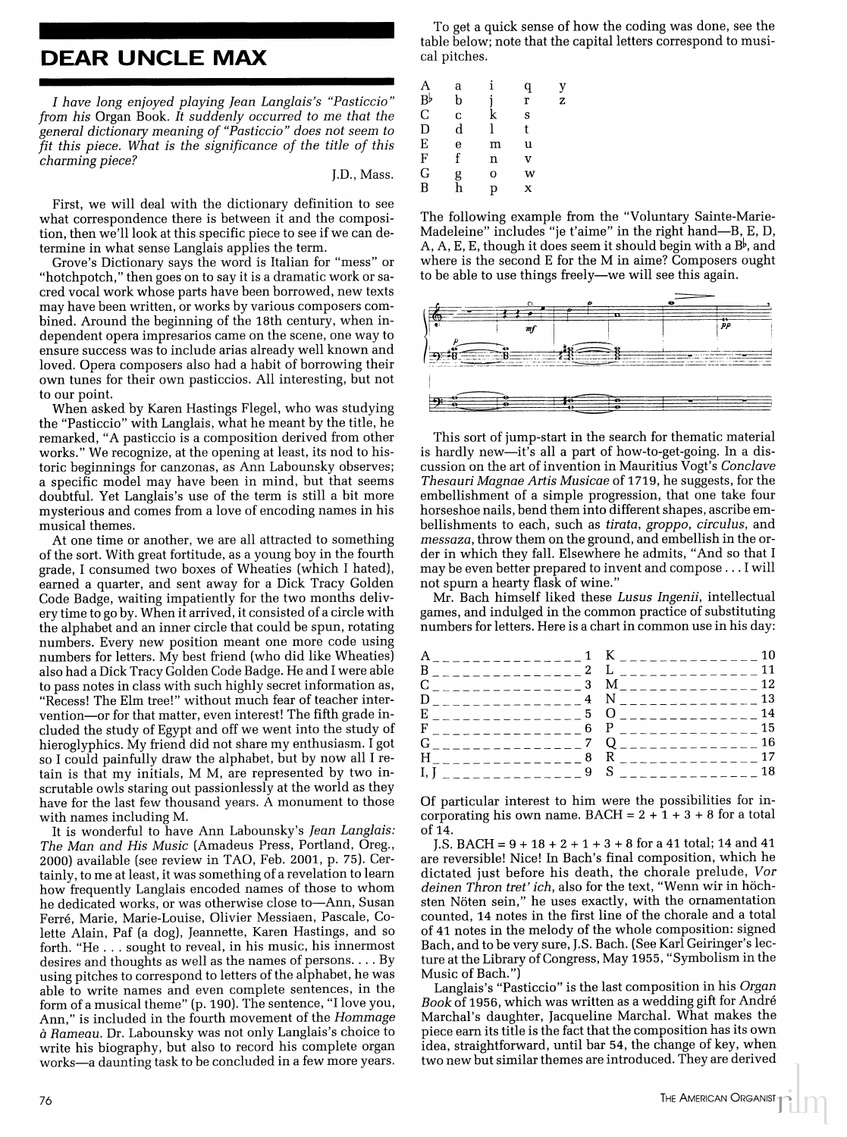## **DEAR UNCLE MAX**

I have long enjoyed playing Jean Langlais's "Pasticcio" from his Organ Book. It suddenly occurred to me that the general dictionary meaning of "Pasticcio" does not seem to fit this piece. What is the significance of the title of this charming piece?

J.D., Mass.

First, we will deal with the dictionary definition to see what correspondence there is between it and the composition, then we'll look at this specific piece to see if we can determine in what sense Langlais applies the term.

Grove's Dictionary says the word is Italian for "mess" or "hotchpotch," then goes on to say it is a dramatic work or sacred vocal work whose parts have been borrowed, new texts may have been written, or works by various composers combined. Around the beginning of the 18th century, when independent opera impresarios came on the scene, one way to ensure success was to include arias already well known and loved. Opera composers also had a habit of borrowing their own tunes for their own pasticcios. All interesting, but not to our point.

When asked by Karen Hastings Flegel, who was studying the "Pasticcio" with Langlais, what he meant by the title, he remarked, "A pasticcio is a composition derived from other works." We recognize, at the opening at least, its nod to historic beginnings for canzonas, as Ann Labounsky observes; a specific model may have been in mind, but that seems doubtful. Yet Langlais's use of the term is still a bit more mysterious and comes from a love of encoding names in his musical themes.

At one time or another, we are all attracted to something of the sort. With great fortitude, as a young boy in the fourth grade, I consumed two boxes of Wheaties (which I hated), earned a quarter, and sent away for a Dick Tracy Golden Code Badge, waiting impatiently for the two months delivery time to go by. When it arrived, it consisted of a circle with the alphabet and an inner circle that could be spun, rotating numbers. Every new position meant one more code using numbers for letters. My best friend (who did like Wheaties) also had a Dick Tracy Golden Code Badge. He and I were able to pass notes in class with such highly secret information as, "Recess! The Elm tree!" without much fear of teacher intervention—or for that matter, even interest! The fifth grade included the study of Egypt and off we went into the study of hieroglyphics. My friend did not share my enthusiasm. I got so I could painfully draw the alphabet, but by now all I retain is that my initials, M M, are represented by two inscrutable owls staring out passionlessly at the world as they have for the last few thousand years. A monument to those with names including M.

It is wonderful to have Ann Labounsky's Jean Langlais: The Man and His Music (Amadeus Press, Portland, Oreg., 2000) available (see review in TAO, Feb. 2001, p. 75). Certainly, to me at least, it was something of a revelation to learn how frequently Langlais encoded names of those to whom he dedicated works, or was otherwise close to-Ann, Susan Ferré, Marie, Marie-Louise, Olivier Messiaen, Pascale, Colette Alain, Paf (a dog), Jeannette, Karen Hastings, and so forth. "He . . . sought to reveal, in his music, his innermost desires and thoughts as well as the names of persons. . . . By using pitches to correspond to letters of the alphabet, he was able to write names and even complete sentences, in the form of a musical theme" (p. 190). The sentence, "I love you, Ann," is included in the fourth movement of the Hommage à Rameau. Dr. Labounsky was not only Langlais's choice to write his biography, but also to record his complete organ works-a daunting task to be concluded in a few more years.

To get a quick sense of how the coding was done, see the table below; note that the capital letters correspond to musical pitches.

| A             | a |   | q | y |
|---------------|---|---|---|---|
| B♭<br>C       | b |   | r | z |
|               | Ċ | k | S |   |
| D             | d |   | t |   |
| $\frac{E}{F}$ | e | m | u |   |
|               | f | n | v |   |
| G             | g | O | w |   |
| $\bar{B}$     | h | р | x |   |
|               |   |   |   |   |

The following example from the "Voluntary Sainte-Marie-Madeleine" includes "je t'aime" in the right hand—B, E, D, A, A, E, E, though it does seem it should begin with a  $B^{\flat}$ , and where is the second E for the M in aime? Composers ought to be able to use things freely—we will see this again.



This sort of jump-start in the search for thematic material is hardly new-it's all a part of how-to-get-going. In a discussion on the art of invention in Mauritius Vogt's Conclave Thesauri Magnae Artis Musicae of 1719, he suggests, for the embellishment of a simple progression, that one take four horseshoe nails, bend them into different shapes, ascribe embellishments to each, such as tirata, groppo, circulus, and messaza, throw them on the ground, and embellish in the order in which they fall. Elsewhere he admits, "And so that I may be even better prepared to invent and compose . . . I will not spurn a hearty flask of wine."

Mr. Bach himself liked these Lusus Ingenii, intellectual games, and indulged in the common practice of substituting numbers for letters. Here is a chart in common use in his day:

|  | A <sub>_________________1</sub> K__________________10 |    |
|--|-------------------------------------------------------|----|
|  |                                                       |    |
|  | $C_{\text{2}}$                                        |    |
|  | D_______________4 N__________________13               |    |
|  |                                                       |    |
|  | $F_{\_$                                               |    |
|  | G $Q_{2}$ 16                                          |    |
|  |                                                       |    |
|  |                                                       | 18 |
|  |                                                       |    |

Of particular interest to him were the possibilities for incorporating his own name. BACH =  $2 + 1 + 3 + 8$  for a total of 14.

J.S. BACH =  $9+18+2+1+3+8$  for a 41 total; 14 and 41 are reversible! Nice! In Bach's final composition, which he dictated just before his death, the chorale prelude, Vor deinen Thron tret' ich, also for the text, "Wenn wir in höchsten Nöten sein," he uses exactly, with the ornamentation counted, 14 notes in the first line of the chorale and a total of 41 notes in the melody of the whole composition: signed Bach, and to be very sure, J.S. Bach. (See Karl Geiringer's lecture at the Library of Congress, May 1955, "Symbolism in the Music of Bach.")

Langlais's "Pasticcio" is the last composition in his Organ Book of 1956, which was written as a wedding gift for André Marchal's daughter, Jacqueline Marchal. What makes the piece earn its title is the fact that the composition has its own idea, straightforward, until bar 54, the change of key, when two new but similar themes are introduced. They are derived